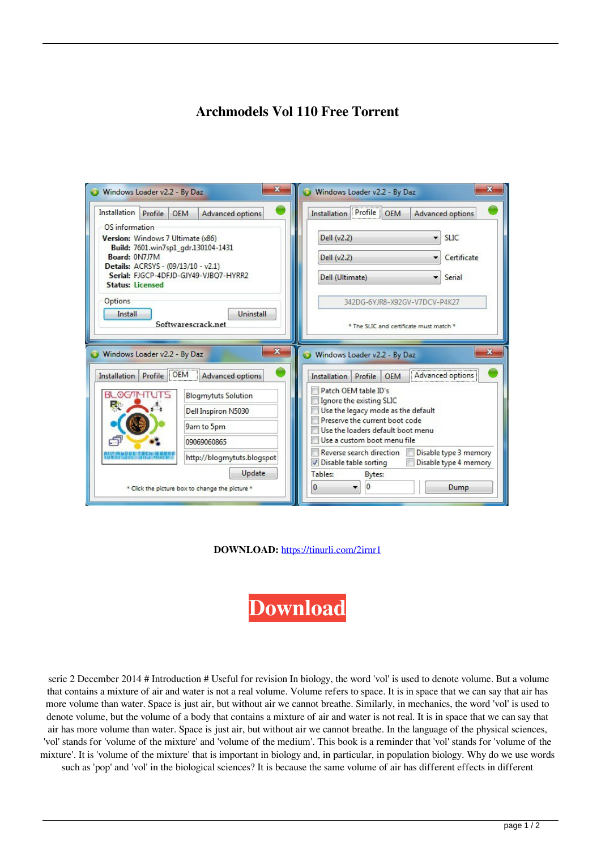## **Archmodels Vol 110 Free Torrent**

| $\mathbf x$<br>Windows Loader v2.2 - By Daz                                                                                                                                                                                                                                                                                                         | $\mathbf{x}$<br>Windows Loader v2.2 - By Daz                                                                                                                                                                                                                                                        |
|-----------------------------------------------------------------------------------------------------------------------------------------------------------------------------------------------------------------------------------------------------------------------------------------------------------------------------------------------------|-----------------------------------------------------------------------------------------------------------------------------------------------------------------------------------------------------------------------------------------------------------------------------------------------------|
| Installation<br>Profile<br><b>OEM</b><br><b>Advanced options</b><br>OS information<br>Version: Windows 7 Ultimate (x86)<br>Build: 7601.win7sp1_gdr.130104-1431<br>Board: 0N7J7M<br>Details: ACRSYS - (09/13/10 - v2.1)<br>Serial: FJGCP-4DFJD-GJY49-VJBO7-HYRR2<br><b>Status: Licensed</b><br>Options<br>Uninstall<br>Install<br>Softwarescrack.net | Installation Profile OEM<br><b>Advanced options</b><br>Dell (v2.2)<br><b>SLIC</b><br>Dell (v2.2)<br>Certificate<br>Dell (Ultimate)<br>Serial<br>342DG-6YJR8-X92GV-V7DCV-P4K27<br>* The SLIC and certificate must match *                                                                            |
| X<br>Windows Loader v2.2 - By Daz<br>Installation Profile OEM<br><b>Advanced options</b>                                                                                                                                                                                                                                                            | X<br>Windows Loader v2.2 - By Daz<br>Advanced options<br><b>OEM</b><br><b>Installation</b><br>Profile                                                                                                                                                                                               |
| <b>BLOGMYTUTS</b><br><b>Blogmytuts Solution</b><br>Re<br>Dell Inspiron N5030<br>9am to 5pm<br>09069060865<br>http://blogmytuts.blogspot                                                                                                                                                                                                             | Patch OEM table ID's<br>Ignore the existing SLIC<br>Use the legacy mode as the default<br>Preserve the current boot code<br>Use the loaders default boot menu<br>Use a custom boot menu file<br>Reverse search direction<br>Disable type 3 memory<br>Disable table sorting<br>Disable type 4 memory |
| Update<br>* Click the picture box to change the picture *                                                                                                                                                                                                                                                                                           | Tables:<br>Bytes:<br>0<br>$\bf{0}$<br>Dump                                                                                                                                                                                                                                                          |

**DOWNLOAD:** <https://tinurli.com/2irnr1>

**[Download](https://tinurli.com/2irnr1)**

 serie 2 December 2014 # Introduction # Useful for revision In biology, the word 'vol' is used to denote volume. But a volume that contains a mixture of air and water is not a real volume. Volume refers to space. It is in space that we can say that air has more volume than water. Space is just air, but without air we cannot breathe. Similarly, in mechanics, the word 'vol' is used to denote volume, but the volume of a body that contains a mixture of air and water is not real. It is in space that we can say that air has more volume than water. Space is just air, but without air we cannot breathe. In the language of the physical sciences, 'vol' stands for 'volume of the mixture' and 'volume of the medium'. This book is a reminder that 'vol' stands for 'volume of the mixture'. It is 'volume of the mixture' that is important in biology and, in particular, in population biology. Why do we use words such as 'pop' and 'vol' in the biological sciences? It is because the same volume of air has different effects in different